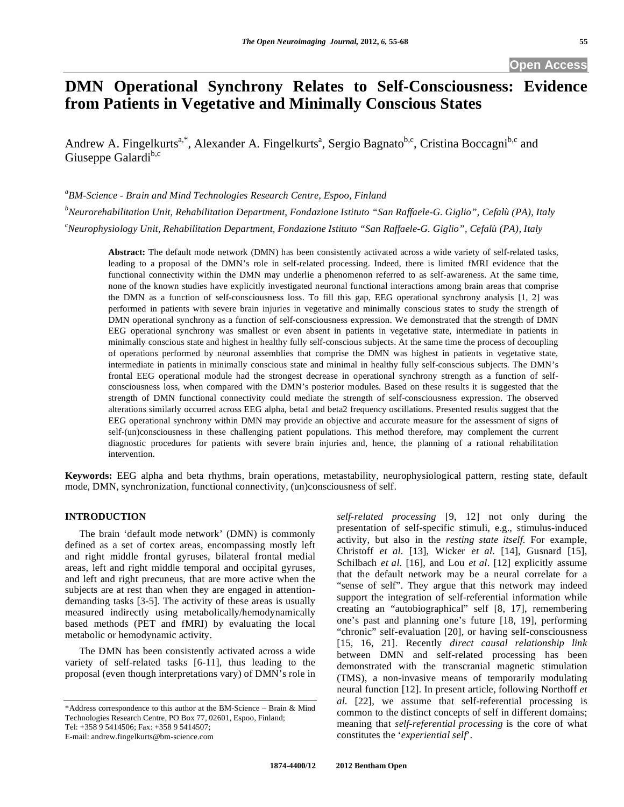# **DMN Operational Synchrony Relates to Self-Consciousness: Evidence from Patients in Vegetative and Minimally Conscious States**

Andrew A. Fingelkurts<sup>a,\*</sup>, Alexander A. Fingelkurts<sup>a</sup>, Sergio Bagnato<sup>b,c</sup>, Cristina Boccagni<sup>b,c</sup> and Giuseppe Galardi<sup>b,c</sup>

*a BM-Science - Brain and Mind Technologies Research Centre, Espoo, Finland* 

*b Neurorehabilitation Unit, Rehabilitation Department, Fondazione Istituto "San Raffaele-G. Giglio", Cefalù (PA), Italy c Neurophysiology Unit, Rehabilitation Department, Fondazione Istituto "San Raffaele-G. Giglio", Cefalù (PA), Italy* 

**Abstract:** The default mode network (DMN) has been consistently activated across a wide variety of self-related tasks, leading to a proposal of the DMN's role in self-related processing. Indeed, there is limited fMRI evidence that the functional connectivity within the DMN may underlie a phenomenon referred to as self-awareness. At the same time, none of the known studies have explicitly investigated neuronal functional interactions among brain areas that comprise the DMN as a function of self-consciousness loss. To fill this gap, EEG operational synchrony analysis [1, 2] was performed in patients with severe brain injuries in vegetative and minimally conscious states to study the strength of DMN operational synchrony as a function of self-consciousness expression. We demonstrated that the strength of DMN EEG operational synchrony was smallest or even absent in patients in vegetative state, intermediate in patients in minimally conscious state and highest in healthy fully self-conscious subjects. At the same time the process of decoupling of operations performed by neuronal assemblies that comprise the DMN was highest in patients in vegetative state, intermediate in patients in minimally conscious state and minimal in healthy fully self-conscious subjects. The DMN's frontal EEG operational module had the strongest decrease in operational synchrony strength as a function of selfconsciousness loss, when compared with the DMN's posterior modules. Based on these results it is suggested that the strength of DMN functional connectivity could mediate the strength of self-consciousness expression. The observed alterations similarly occurred across EEG alpha, beta1 and beta2 frequency oscillations. Presented results suggest that the EEG operational synchrony within DMN may provide an objective and accurate measure for the assessment of signs of self-(un)consciousness in these challenging patient populations. This method therefore, may complement the current diagnostic procedures for patients with severe brain injuries and, hence, the planning of a rational rehabilitation intervention.

**Keywords:** EEG alpha and beta rhythms, brain operations, metastability, neurophysiological pattern, resting state, default mode, DMN, synchronization, functional connectivity, (un)consciousness of self.

# **INTRODUCTION**

 The brain 'default mode network' (DMN) is commonly defined as a set of cortex areas, encompassing mostly left and right middle frontal gyruses, bilateral frontal medial areas, left and right middle temporal and occipital gyruses, and left and right precuneus, that are more active when the subjects are at rest than when they are engaged in attentiondemanding tasks [3-5]. The activity of these areas is usually measured indirectly using metabolically/hemodynamically based methods (PET and fMRI) by evaluating the local metabolic or hemodynamic activity.

 The DMN has been consistently activated across a wide variety of self-related tasks [6-11], thus leading to the proposal (even though interpretations vary) of DMN's role in *self-related processing* [9, 12] not only during the presentation of self-specific stimuli, e.g., stimulus-induced activity, but also in the *resting state itself*. For example, Christoff *et al*. [13], Wicker *et al*. [14], Gusnard [15], Schilbach *et al*. [16], and Lou *et al*. [12] explicitly assume that the default network may be a neural correlate for a "sense of self". They argue that this network may indeed support the integration of self-referential information while creating an "autobiographical" self [8, 17], remembering one's past and planning one's future [18, 19], performing "chronic" self-evaluation [20], or having self-consciousness [15, 16, 21]. Recently *direct causal relationship link* between DMN and self-related processing has been demonstrated with the transcranial magnetic stimulation (TMS), a non-invasive means of temporarily modulating neural function [12]. In present article, following Northoff *et al*. [22], we assume that self-referential processing is common to the distinct concepts of self in different domains; meaning that *self-referential processing* is the core of what constitutes the '*experiential self*'.

<sup>\*</sup>Address correspondence to this author at the BM-Science – Brain & Mind Technologies Research Centre, PO Box 77, 02601, Espoo, Finland;

Tel: +358 9 5414506; Fax: +358 9 5414507;

E-mail: andrew.fingelkurts@bm-science.com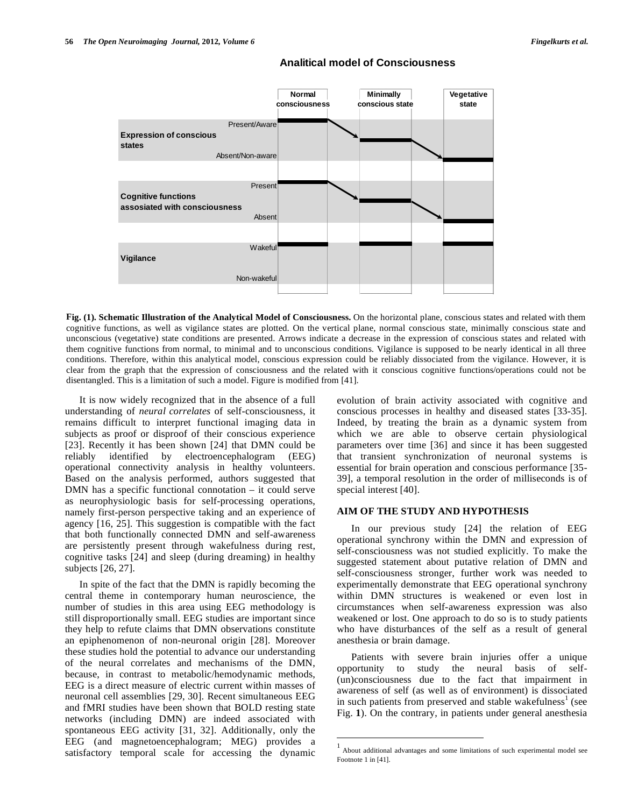

# **Analitical model of Consciousness**

**Fig. (1). Schematic Illustration of the Analytical Model of Consciousness.** On the horizontal plane, conscious states and related with them cognitive functions, as well as vigilance states are plotted. On the vertical plane, normal conscious state, minimally conscious state and unconscious (vegetative) state conditions are presented. Arrows indicate a decrease in the expression of conscious states and related with them cognitive functions from normal, to minimal and to unconscious conditions. Vigilance is supposed to be nearly identical in all three conditions. Therefore, within this analytical model, conscious expression could be reliably dissociated from the vigilance. However, it is clear from the graph that the expression of consciousness and the related with it conscious cognitive functions/operations could not be disentangled. This is a limitation of such a model. Figure is modified from [41].

1

 It is now widely recognized that in the absence of a full understanding of *neural correlates* of self-consciousness, it remains difficult to interpret functional imaging data in subjects as proof or disproof of their conscious experience [23]. Recently it has been shown [24] that DMN could be reliably identified by electroencephalogram (EEG) operational connectivity analysis in healthy volunteers. Based on the analysis performed, authors suggested that DMN has a specific functional connotation – it could serve as neurophysiologic basis for self-processing operations, namely first-person perspective taking and an experience of agency [16, 25]. This suggestion is compatible with the fact that both functionally connected DMN and self-awareness are persistently present through wakefulness during rest, cognitive tasks [24] and sleep (during dreaming) in healthy subjects [26, 27].

 In spite of the fact that the DMN is rapidly becoming the central theme in contemporary human neuroscience, the number of studies in this area using EEG methodology is still disproportionally small. EEG studies are important since they help to refute claims that DMN observations constitute an epiphenomenon of non-neuronal origin [28]. Moreover these studies hold the potential to advance our understanding of the neural correlates and mechanisms of the DMN, because, in contrast to metabolic/hemodynamic methods, EEG is a direct measure of electric current within masses of neuronal cell assemblies [29, 30]. Recent simultaneous EEG and fMRI studies have been shown that BOLD resting state networks (including DMN) are indeed associated with spontaneous EEG activity [31, 32]. Additionally, only the EEG (and magnetoencephalogram; MEG) provides a satisfactory temporal scale for accessing the dynamic

evolution of brain activity associated with cognitive and conscious processes in healthy and diseased states [33-35]. Indeed, by treating the brain as a dynamic system from which we are able to observe certain physiological parameters over time [36] and since it has been suggested that transient synchronization of neuronal systems is essential for brain operation and conscious performance [35- 39], a temporal resolution in the order of milliseconds is of special interest [40].

# **AIM OF THE STUDY AND HYPOTHESIS**

 In our previous study [24] the relation of EEG operational synchrony within the DMN and expression of self-consciousness was not studied explicitly. To make the suggested statement about putative relation of DMN and self-consciousness stronger, further work was needed to experimentally demonstrate that EEG operational synchrony within DMN structures is weakened or even lost in circumstances when self-awareness expression was also weakened or lost. One approach to do so is to study patients who have disturbances of the self as a result of general anesthesia or brain damage.

 Patients with severe brain injuries offer a unique opportunity to study the neural basis of self- (un)consciousness due to the fact that impairment in awareness of self (as well as of environment) is dissociated in such patients from preserved and stable wakefulness<sup>1</sup> (see Fig. **1**). On the contrary, in patients under general anesthesia

<sup>1</sup> About additional advantages and some limitations of such experimental model see Footnote 1 in [41].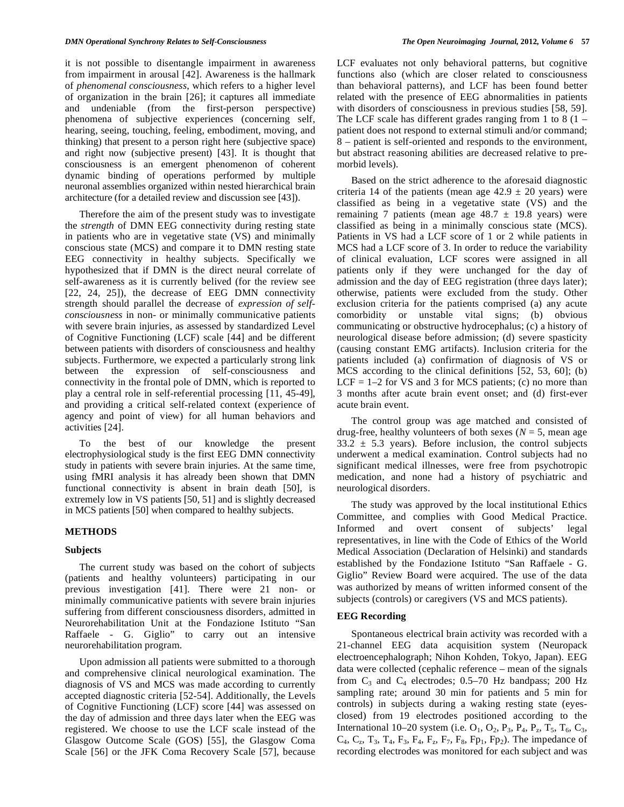it is not possible to disentangle impairment in awareness from impairment in arousal [42]. Awareness is the hallmark of *phenomenal consciousness*, which refers to a higher level of organization in the brain [26]; it captures all immediate and undeniable (from the first-person perspective) phenomena of subjective experiences (concerning self, hearing, seeing, touching, feeling, embodiment, moving, and thinking) that present to a person right here (subjective space) and right now (subjective present) [43]. It is thought that consciousness is an emergent phenomenon of coherent dynamic binding of operations performed by multiple neuronal assemblies organized within nested hierarchical brain architecture (for a detailed review and discussion see [43]).

 Therefore the aim of the present study was to investigate the *strength* of DMN EEG connectivity during resting state in patients who are in vegetative state (VS) and minimally conscious state (MCS) and compare it to DMN resting state EEG connectivity in healthy subjects. Specifically we hypothesized that if DMN is the direct neural correlate of self-awareness as it is currently belived (for the review see [22, 24, 25]), the decrease of EEG DMN connectivity strength should parallel the decrease of *expression of selfconsciousness* in non- or minimally communicative patients with severe brain injuries, as assessed by standardized Level of Cognitive Functioning (LCF) scale [44] and be different between patients with disorders of consciousness and healthy subjects. Furthermore, we expected a particularly strong link between the expression of self-consciousness and connectivity in the frontal pole of DMN, which is reported to play a central role in self-referential processing [11, 45-49], and providing a critical self-related context (experience of agency and point of view) for all human behaviors and activities [24].

 To the best of our knowledge the present electrophysiological study is the first EEG DMN connectivity study in patients with severe brain injuries. At the same time, using fMRI analysis it has already been shown that DMN functional connectivity is absent in brain death [50], is extremely low in VS patients [50, 51] and is slightly decreased in MCS patients [50] when compared to healthy subjects.

# **METHODS**

## **Subjects**

 The current study was based on the cohort of subjects (patients and healthy volunteers) participating in our previous investigation [41]. There were 21 non- or minimally communicative patients with severe brain injuries suffering from different consciousness disorders, admitted in Neurorehabilitation Unit at the Fondazione Istituto "San Raffaele - G. Giglio" to carry out an intensive neurorehabilitation program.

 Upon admission all patients were submitted to a thorough and comprehensive clinical neurological examination. The diagnosis of VS and MCS was made according to currently accepted diagnostic criteria [52-54]. Additionally, the Levels of Cognitive Functioning (LCF) score [44] was assessed on the day of admission and three days later when the EEG was registered. We choose to use the LCF scale instead of the Glasgow Outcome Scale (GOS) [55], the Glasgow Coma Scale [56] or the JFK Coma Recovery Scale [57], because

LCF evaluates not only behavioral patterns, but cognitive functions also (which are closer related to consciousness than behavioral patterns), and LCF has been found better related with the presence of EEG abnormalities in patients with disorders of consciousness in previous studies [58, 59]. The LCF scale has different grades ranging from 1 to 8  $(1$ patient does not respond to external stimuli and/or command; 8 – patient is self-oriented and responds to the environment, but abstract reasoning abilities are decreased relative to premorbid levels).

 Based on the strict adherence to the aforesaid diagnostic criteria 14 of the patients (mean age  $42.9 \pm 20$  years) were classified as being in a vegetative state (VS) and the remaining 7 patients (mean age  $48.7 \pm 19.8$  years) were classified as being in a minimally conscious state (MCS). Patients in VS had a LCF score of 1 or 2 while patients in MCS had a LCF score of 3. In order to reduce the variability of clinical evaluation, LCF scores were assigned in all patients only if they were unchanged for the day of admission and the day of EEG registration (three days later); otherwise, patients were excluded from the study. Other exclusion criteria for the patients comprised (a) any acute comorbidity or unstable vital signs; (b) obvious communicating or obstructive hydrocephalus; (c) a history of neurological disease before admission; (d) severe spasticity (causing constant EMG artifacts). Inclusion criteria for the patients included (a) confirmation of diagnosis of VS or MCS according to the clinical definitions [52, 53, 60]; (b) LCF  $= 1-2$  for VS and 3 for MCS patients; (c) no more than 3 months after acute brain event onset; and (d) first-ever acute brain event.

 The control group was age matched and consisted of drug-free, healthy volunteers of both sexes ( $N = 5$ , mean age  $33.2 \pm 5.3$  years). Before inclusion, the control subjects underwent a medical examination. Control subjects had no significant medical illnesses, were free from psychotropic medication, and none had a history of psychiatric and neurological disorders.

 The study was approved by the local institutional Ethics Committee, and complies with Good Medical Practice. Informed and overt consent of subjects' legal representatives, in line with the Code of Ethics of the World Medical Association (Declaration of Helsinki) and standards established by the Fondazione Istituto "San Raffaele - G. Giglio" Review Board were acquired. The use of the data was authorized by means of written informed consent of the subjects (controls) or caregivers (VS and MCS patients).

## **EEG Recording**

 Spontaneous electrical brain activity was recorded with a 21-channel EEG data acquisition system (Neuropack electroencephalograph; Nihon Kohden, Tokyo, Japan). EEG data were collected (cephalic reference – mean of the signals from  $C_3$  and  $C_4$  electrodes; 0.5–70 Hz bandpass; 200 Hz sampling rate; around 30 min for patients and 5 min for controls) in subjects during a waking resting state (eyesclosed) from 19 electrodes positioned according to the International 10–20 system (i.e.  $O_1$ ,  $O_2$ ,  $P_3$ ,  $P_4$ ,  $P_7$ ,  $T_5$ ,  $T_6$ ,  $C_3$ ,  $C_4$ ,  $C_2$ ,  $T_3$ ,  $T_4$ ,  $F_3$ ,  $F_4$ ,  $F_5$ ,  $F_7$ ,  $F_8$ ,  $F_9$ ,  $F_9$ ). The impedance of recording electrodes was monitored for each subject and was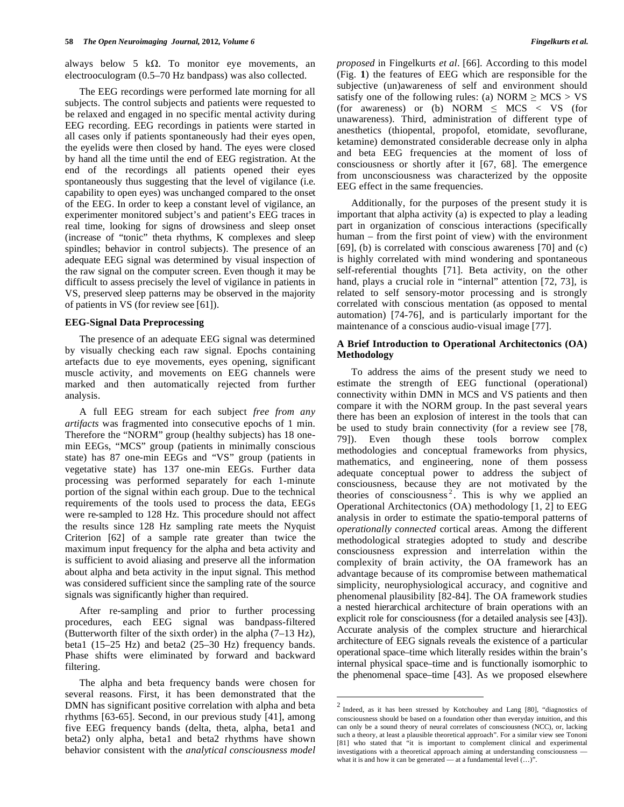always below 5 k $\Omega$ . To monitor eye movements, an electrooculogram (0.5–70 Hz bandpass) was also collected.

 The EEG recordings were performed late morning for all subjects. The control subjects and patients were requested to be relaxed and engaged in no specific mental activity during EEG recording. EEG recordings in patients were started in all cases only if patients spontaneously had their eyes open, the eyelids were then closed by hand. The eyes were closed by hand all the time until the end of EEG registration. At the end of the recordings all patients opened their eyes spontaneously thus suggesting that the level of vigilance (i.e. capability to open eyes) was unchanged compared to the onset of the EEG. In order to keep a constant level of vigilance, an experimenter monitored subject's and patient's EEG traces in real time, looking for signs of drowsiness and sleep onset (increase of "tonic" theta rhythms, K complexes and sleep spindles; behavior in control subjects). The presence of an adequate EEG signal was determined by visual inspection of the raw signal on the computer screen. Even though it may be difficult to assess precisely the level of vigilance in patients in VS, preserved sleep patterns may be observed in the majority of patients in VS (for review see [61]).

#### **EEG-Signal Data Preprocessing**

 The presence of an adequate EEG signal was determined by visually checking each raw signal. Epochs containing artefacts due to eye movements, eyes opening, significant muscle activity, and movements on EEG channels were marked and then automatically rejected from further analysis.

 A full EEG stream for each subject *free from any artifacts* was fragmented into consecutive epochs of 1 min. Therefore the "NORM" group (healthy subjects) has 18 onemin EEGs, "MCS" group (patients in minimally conscious state) has 87 one-min EEGs and "VS" group (patients in vegetative state) has 137 one-min EEGs. Further data processing was performed separately for each 1-minute portion of the signal within each group. Due to the technical requirements of the tools used to process the data, EEGs were re-sampled to 128 Hz. This procedure should not affect the results since 128 Hz sampling rate meets the Nyquist Criterion [62] of a sample rate greater than twice the maximum input frequency for the alpha and beta activity and is sufficient to avoid aliasing and preserve all the information about alpha and beta activity in the input signal. This method was considered sufficient since the sampling rate of the source signals was significantly higher than required.

 After re-sampling and prior to further processing procedures, each EEG signal was bandpass-filtered (Butterworth filter of the sixth order) in the alpha (7–13 Hz), beta1 (15–25 Hz) and beta2 (25–30 Hz) frequency bands. Phase shifts were eliminated by forward and backward filtering.

 The alpha and beta frequency bands were chosen for several reasons. First, it has been demonstrated that the DMN has significant positive correlation with alpha and beta rhythms [63-65]. Second, in our previous study [41], among five EEG frequency bands (delta, theta, alpha, beta1 and beta2) only alpha, beta1 and beta2 rhythms have shown behavior consistent with the *analytical consciousness model*  *proposed* in Fingelkurts *et al*. [66]. According to this model (Fig. **1**) the features of EEG which are responsible for the subjective (un)awareness of self and environment should satisfy one of the following rules: (a) NORM  $\geq MCS > VS$ (for awareness) or (b) NORM  $\leq$  MCS  $\lt$  VS (for unawareness). Third, administration of different type of anesthetics (thiopental, propofol, etomidate, sevoflurane, ketamine) demonstrated considerable decrease only in alpha and beta EEG frequencies at the moment of loss of consciousness or shortly after it [67, 68]. The emergence from unconsciousness was characterized by the opposite EEG effect in the same frequencies.

 Additionally, for the purposes of the present study it is important that alpha activity (a) is expected to play a leading part in organization of conscious interactions (specifically human – from the first point of view) with the environment [69], (b) is correlated with conscious awareness  $[70]$  and  $(c)$ is highly correlated with mind wondering and spontaneous self-referential thoughts [71]. Beta activity, on the other hand, plays a crucial role in "internal" attention [72, 73], is related to self sensory-motor processing and is strongly correlated with conscious mentation (as opposed to mental automation) [74-76], and is particularly important for the maintenance of a conscious audio-visual image [77].

## **A Brief Introduction to Operational Architectonics (OA) Methodology**

 To address the aims of the present study we need to estimate the strength of EEG functional (operational) connectivity within DMN in MCS and VS patients and then compare it with the NORM group. In the past several years there has been an explosion of interest in the tools that can be used to study brain connectivity (for a review see [78, 79]). Even though these tools borrow complex methodologies and conceptual frameworks from physics, mathematics, and engineering, none of them possess adequate conceptual power to address the subject of consciousness, because they are not motivated by the theories of consciousness<sup>2</sup>. This is why we applied an Operational Architectonics (OA) methodology [1, 2] to EEG analysis in order to estimate the spatio-temporal patterns of *operationally connected* cortical areas. Among the different methodological strategies adopted to study and describe consciousness expression and interrelation within the complexity of brain activity, the OA framework has an advantage because of its compromise between mathematical simplicity, neurophysiological accuracy, and cognitive and phenomenal plausibility [82-84]. The OA framework studies a nested hierarchical architecture of brain operations with an explicit role for consciousness (for a detailed analysis see [43]). Accurate analysis of the complex structure and hierarchical architecture of EEG signals reveals the existence of a particular operational space–time which literally resides within the brain's internal physical space–time and is functionally isomorphic to the phenomenal space–time [43]. As we proposed elsewhere

1

 $2$  Indeed, as it has been stressed by Kotchoubey and Lang [80], "diagnostics of consciousness should be based on a foundation other than everyday intuition, and this can only be a sound theory of neural correlates of consciousness (NCC), or, lacking such a theory, at least a plausible theoretical approach". For a similar view see Tononi [81] who stated that "it is important to complement clinical and experimental investigations with a theoretical approach aiming at understanding consciousness what it is and how it can be generated — at a fundamental level (…)".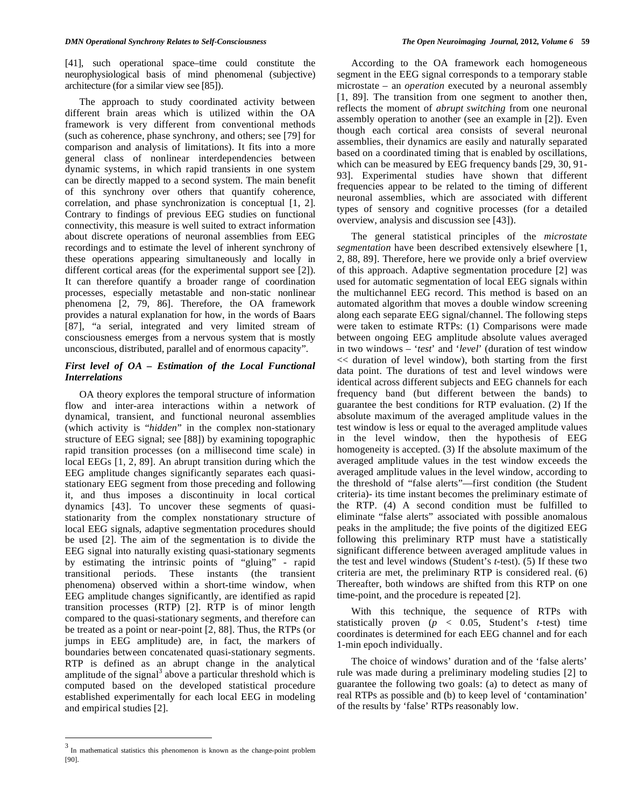[41], such operational space–time could constitute the neurophysiological basis of mind phenomenal (subjective) architecture (for a similar view see [85]).

 The approach to study coordinated activity between different brain areas which is utilized within the OA framework is very different from conventional methods (such as coherence, phase synchrony, and others; see [79] for comparison and analysis of limitations). It fits into a more general class of nonlinear interdependencies between dynamic systems, in which rapid transients in one system can be directly mapped to a second system. The main benefit of this synchrony over others that quantify coherence, correlation, and phase synchronization is conceptual [1, 2]. Contrary to findings of previous EEG studies on functional connectivity, this measure is well suited to extract information about discrete operations of neuronal assemblies from EEG recordings and to estimate the level of inherent synchrony of these operations appearing simultaneously and locally in different cortical areas (for the experimental support see [2]). It can therefore quantify a broader range of coordination processes, especially metastable and non-static nonlinear phenomena [2, 79, 86]. Therefore, the OA framework provides a natural explanation for how, in the words of Baars [87], "a serial, integrated and very limited stream of consciousness emerges from a nervous system that is mostly unconscious, distributed, parallel and of enormous capacity".

## *First level of OA – Estimation of the Local Functional Interrelations*

 OA theory explores the temporal structure of information flow and inter-area interactions within a network of dynamical, transient, and functional neuronal assemblies (which activity is "*hidden*" in the complex non-stationary structure of EEG signal; see [88]) by examining topographic rapid transition processes (on a millisecond time scale) in local EEGs [1, 2, 89]. An abrupt transition during which the EEG amplitude changes significantly separates each quasistationary EEG segment from those preceding and following it, and thus imposes a discontinuity in local cortical dynamics [43]. To uncover these segments of quasistationarity from the complex nonstationary structure of local EEG signals, adaptive segmentation procedures should be used [2]. The aim of the segmentation is to divide the EEG signal into naturally existing quasi-stationary segments by estimating the intrinsic points of "gluing" - rapid transitional periods. These instants (the transient phenomena) observed within a short-time window, when EEG amplitude changes significantly, are identified as rapid transition processes (RTP) [2]. RTP is of minor length compared to the quasi-stationary segments, and therefore can be treated as a point or near-point [2, 88]. Thus, the RTPs (or jumps in EEG amplitude) are, in fact, the markers of boundaries between concatenated quasi-stationary segments. RTP is defined as an abrupt change in the analytical amplitude of the signal<sup>3</sup> above a particular threshold which is computed based on the developed statistical procedure established experimentally for each local EEG in modeling and empirical studies [2].

 According to the OA framework each homogeneous segment in the EEG signal corresponds to a temporary stable microstate – an *operation* executed by a neuronal assembly [1, 89]. The transition from one segment to another then, reflects the moment of *abrupt switching* from one neuronal assembly operation to another (see an example in [2]). Even though each cortical area consists of several neuronal assemblies, their dynamics are easily and naturally separated based on a coordinated timing that is enabled by oscillations, which can be measured by EEG frequency bands [29, 30, 91- 93]. Experimental studies have shown that different frequencies appear to be related to the timing of different neuronal assemblies, which are associated with different types of sensory and cognitive processes (for a detailed overview, analysis and discussion see [43]).

 The general statistical principles of the *microstate segmentation* have been described extensively elsewhere [1, 2, 88, 89]. Therefore, here we provide only a brief overview of this approach. Adaptive segmentation procedure [2] was used for automatic segmentation of local EEG signals within the multichannel EEG record. This method is based on an automated algorithm that moves a double window screening along each separate EEG signal/channel. The following steps were taken to estimate RTPs: (1) Comparisons were made between ongoing EEG amplitude absolute values averaged in two windows – '*test*' and '*level*' (duration of test window << duration of level window), both starting from the first data point. The durations of test and level windows were identical across different subjects and EEG channels for each frequency band (but different between the bands) to guarantee the best conditions for RTP evaluation. (2) If the absolute maximum of the averaged amplitude values in the test window is less or equal to the averaged amplitude values in the level window, then the hypothesis of EEG homogeneity is accepted. (3) If the absolute maximum of the averaged amplitude values in the test window exceeds the averaged amplitude values in the level window, according to the threshold of "false alerts"—first condition (the Student criteria)- its time instant becomes the preliminary estimate of the RTP. (4) A second condition must be fulfilled to eliminate "false alerts" associated with possible anomalous peaks in the amplitude; the five points of the digitized EEG following this preliminary RTP must have a statistically significant difference between averaged amplitude values in the test and level windows (Student's *t*-test). (5) If these two criteria are met, the preliminary RTP is considered real. (6) Thereafter, both windows are shifted from this RTP on one time-point, and the procedure is repeated [2].

 With this technique, the sequence of RTPs with statistically proven  $(p \lt 0.05,$  Student's *t*-test) time coordinates is determined for each EEG channel and for each 1-min epoch individually.

 The choice of windows' duration and of the 'false alerts' rule was made during a preliminary modeling studies [2] to guarantee the following two goals: (a) to detect as many of real RTPs as possible and (b) to keep level of 'contamination' of the results by 'false' RTPs reasonably low.

 $\overline{a}$ 

<sup>3</sup> In mathematical statistics this phenomenon is known as the change-point problem [90].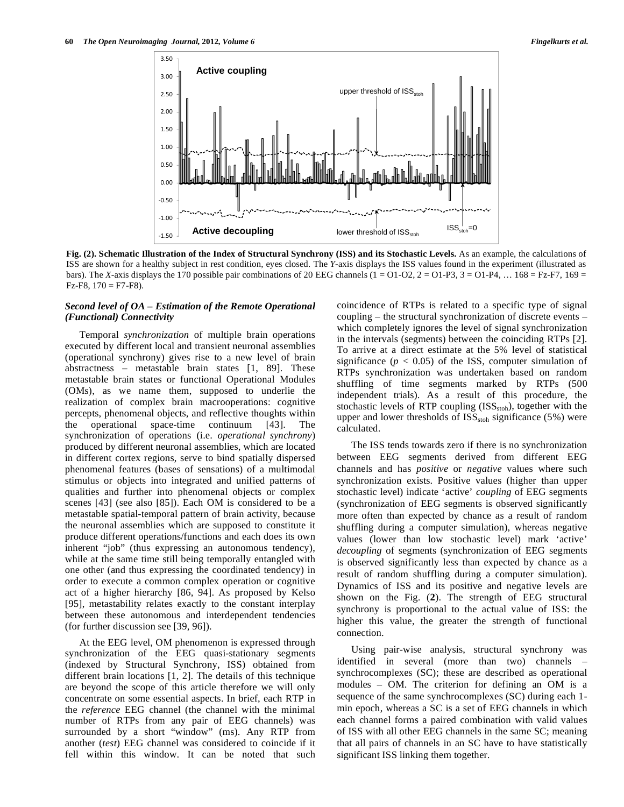

**Fig. (2). Schematic Illustration of the Index of Structural Synchrony (ISS) and its Stochastic Levels.** As an example, the calculations of ISS are shown for a healthy subject in rest condition, eyes closed. The *Y*-axis displays the ISS values found in the experiment (illustrated as bars). The *X*-axis displays the 170 possible pair combinations of 20 EEG channels  $(1 = 01-02, 2 = 01-P3, 3 = 01-P4, \dots 168 = Fz-F7, 169 = Fz-F7$  $Fz-F8$ ,  $170 = F7-F8$ ).

## *Second level of OA – Estimation of the Remote Operational (Functional) Connectivity*

 Temporal *synchronization* of multiple brain operations executed by different local and transient neuronal assemblies (operational synchrony) gives rise to a new level of brain abstractness – metastable brain states [1, 89]. These metastable brain states or functional Operational Modules (OMs), as we name them, supposed to underlie the realization of complex brain macrooperations: cognitive percepts, phenomenal objects, and reflective thoughts within the operational space-time continuum [43]. The synchronization of operations (i.e. *operational synchrony*) produced by different neuronal assemblies, which are located in different cortex regions, serve to bind spatially dispersed phenomenal features (bases of sensations) of a multimodal stimulus or objects into integrated and unified patterns of qualities and further into phenomenal objects or complex scenes [43] (see also [85]). Each OM is considered to be a metastable spatial-temporal pattern of brain activity, because the neuronal assemblies which are supposed to constitute it produce different operations/functions and each does its own inherent "job" (thus expressing an autonomous tendency), while at the same time still being temporally entangled with one other (and thus expressing the coordinated tendency) in order to execute a common complex operation or cognitive act of a higher hierarchy [86, 94]. As proposed by Kelso [95], metastability relates exactly to the constant interplay between these autonomous and interdependent tendencies (for further discussion see [39, 96]).

 At the EEG level, OM phenomenon is expressed through synchronization of the EEG quasi-stationary segments (indexed by Structural Synchrony, ISS) obtained from different brain locations [1, 2]. The details of this technique are beyond the scope of this article therefore we will only concentrate on some essential aspects. In brief, each RTP in the *reference* EEG channel (the channel with the minimal number of RTPs from any pair of EEG channels) was surrounded by a short "window" (ms). Any RTP from another (*test*) EEG channel was considered to coincide if it fell within this window. It can be noted that such coincidence of RTPs is related to a specific type of signal coupling – the structural synchronization of discrete events – which completely ignores the level of signal synchronization in the intervals (segments) between the coinciding RTPs [2]. To arrive at a direct estimate at the 5% level of statistical significance  $(p < 0.05)$  of the ISS, computer simulation of RTPs synchronization was undertaken based on random shuffling of time segments marked by RTPs (500 independent trials). As a result of this procedure, the stochastic levels of RTP coupling  $(ISS_{\rm stoh})$ , together with the upper and lower thresholds of  $ISS<sub>stab</sub>$  significance (5%) were calculated.

 The ISS tends towards zero if there is no synchronization between EEG segments derived from different EEG channels and has *positive* or *negative* values where such synchronization exists. Positive values (higher than upper stochastic level) indicate 'active' *coupling* of EEG segments (synchronization of EEG segments is observed significantly more often than expected by chance as a result of random shuffling during a computer simulation), whereas negative values (lower than low stochastic level) mark 'active' *decoupling* of segments (synchronization of EEG segments is observed significantly less than expected by chance as a result of random shuffling during a computer simulation). Dynamics of ISS and its positive and negative levels are shown on the Fig. (**2**). The strength of EEG structural synchrony is proportional to the actual value of ISS: the higher this value, the greater the strength of functional connection.

 Using pair-wise analysis, structural synchrony was identified in several (more than two) channels – synchrocomplexes (SC); these are described as operational modules – OM. The criterion for defining an OM is a sequence of the same synchrocomplexes (SC) during each 1 min epoch, whereas a SC is a set of EEG channels in which each channel forms a paired combination with valid values of ISS with all other EEG channels in the same SC; meaning that all pairs of channels in an SC have to have statistically significant ISS linking them together.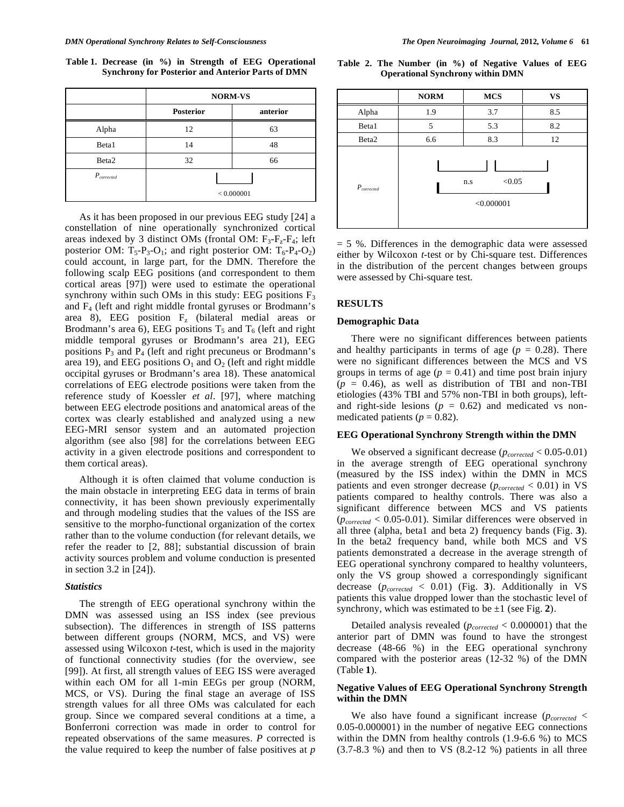**Table 1. Decrease (in %) in Strength of EEG Operational Synchrony for Posterior and Anterior Parts of DMN** 

| <b>NORM-VS</b>   |          |  |
|------------------|----------|--|
| <b>Posterior</b> | anterior |  |
| 12               | 63       |  |
| 14               | 48       |  |
| 32               | 66       |  |
| < 0.000001       |          |  |
|                  |          |  |

 As it has been proposed in our previous EEG study [24] a constellation of nine operationally synchronized cortical areas indexed by 3 distinct OMs (frontal OM:  $F_3-F_7-F_4$ ; left posterior OM:  $T_5-P_3-O_1$ ; and right posterior OM:  $T_6-P_4-O_2$ ) could account, in large part, for the DMN. Therefore the following scalp EEG positions (and correspondent to them cortical areas [97]) were used to estimate the operational synchrony within such OMs in this study: EEG positions  $F_3$ and  $F_4$  (left and right middle frontal gyruses or Brodmann's area 8), EEG position Fz (bilateral medial areas or Brodmann's area 6), EEG positions  $T_5$  and  $T_6$  (left and right middle temporal gyruses or Brodmann's area 21), EEG positions  $P_3$  and  $P_4$  (left and right precuneus or Brodmann's area 19), and EEG positions  $O_1$  and  $O_2$  (left and right middle occipital gyruses or Brodmann's area 18). These anatomical correlations of EEG electrode positions were taken from the reference study of Koessler *et al*. [97], where matching between EEG electrode positions and anatomical areas of the cortex was clearly established and analyzed using a new EEG-MRI sensor system and an automated projection algorithm (see also [98] for the correlations between EEG activity in a given electrode positions and correspondent to them cortical areas).

 Although it is often claimed that volume conduction is the main obstacle in interpreting EEG data in terms of brain connectivity, it has been shown previously experimentally and through modeling studies that the values of the ISS are sensitive to the morpho-functional organization of the cortex rather than to the volume conduction (for relevant details, we refer the reader to [2, 88]; substantial discussion of brain activity sources problem and volume conduction is presented in section 3.2 in [24]).

## *Statistics*

 The strength of EEG operational synchrony within the DMN was assessed using an ISS index (see previous subsection). The differences in strength of ISS patterns between different groups (NORM, MCS, and VS) were assessed using Wilcoxon *t*-test, which is used in the majority of functional connectivity studies (for the overview, see [99]). At first, all strength values of EEG ISS were averaged within each OM for all 1-min EEGs per group (NORM, MCS, or VS). During the final stage an average of ISS strength values for all three OMs was calculated for each group. Since we compared several conditions at a time, a Bonferroni correction was made in order to control for repeated observations of the same measures. *P* corrected is the value required to keep the number of false positives at *p*

**Table 2. The Number (in %) of Negative Values of EEG Operational Synchrony within DMN** 

|                   | <b>NORM</b> | <b>MCS</b>                  | <b>VS</b> |
|-------------------|-------------|-----------------------------|-----------|
| Alpha             | 1.9         | 3.7                         | 8.5       |
| Beta1             | 5           | 5.3                         | 8.2       |
| Beta <sub>2</sub> | 6.6         | 8.3                         | 12        |
| $P_{corrected}$   |             | < 0.05<br>n.s<br>< 0.000001 |           |

 $= 5$  %. Differences in the demographic data were assessed either by Wilcoxon *t*-test or by Chi-square test. Differences in the distribution of the percent changes between groups were assessed by Chi-square test.

## **RESULTS**

#### **Demographic Data**

 There were no significant differences between patients and healthy participants in terms of age  $(p = 0.28)$ . There were no significant differences between the MCS and VS groups in terms of age  $(p = 0.41)$  and time post brain injury  $(p = 0.46)$ , as well as distribution of TBI and non-TBI etiologies (43% TBI and 57% non-TBI in both groups), leftand right-side lesions  $(p = 0.62)$  and medicated vs nonmedicated patients ( $p = 0.82$ ).

#### **EEG Operational Synchrony Strength within the DMN**

We observed a significant decrease  $(p_{corrected} < 0.05 - 0.01)$ in the average strength of EEG operational synchrony (measured by the ISS index) within the DMN in MCS patients and even stronger decrease ( $p_{corrected} < 0.01$ ) in VS patients compared to healthy controls. There was also a significant difference between MCS and VS patients (*pcorrected* < 0.05-0.01). Similar differences were observed in all three (alpha, beta1 and beta 2) frequency bands (Fig. **3**). In the beta2 frequency band, while both MCS and VS patients demonstrated a decrease in the average strength of EEG operational synchrony compared to healthy volunteers, only the VS group showed a correspondingly significant decrease (*pcorrected* < 0.01) (Fig. **3**). Additionally in VS patients this value dropped lower than the stochastic level of synchrony, which was estimated to be  $\pm 1$  (see Fig. 2).

Detailed analysis revealed  $(p_{corrected} < 0.000001)$  that the anterior part of DMN was found to have the strongest decrease (48-66 %) in the EEG operational synchrony compared with the posterior areas (12-32 %) of the DMN (Table **1**).

## **Negative Values of EEG Operational Synchrony Strength within the DMN**

We also have found a significant increase ( $p_{corrected}$  < 0.05-0.000001) in the number of negative EEG connections within the DMN from healthy controls (1.9-6.6 %) to MCS (3.7-8.3 %) and then to VS (8.2-12 %) patients in all three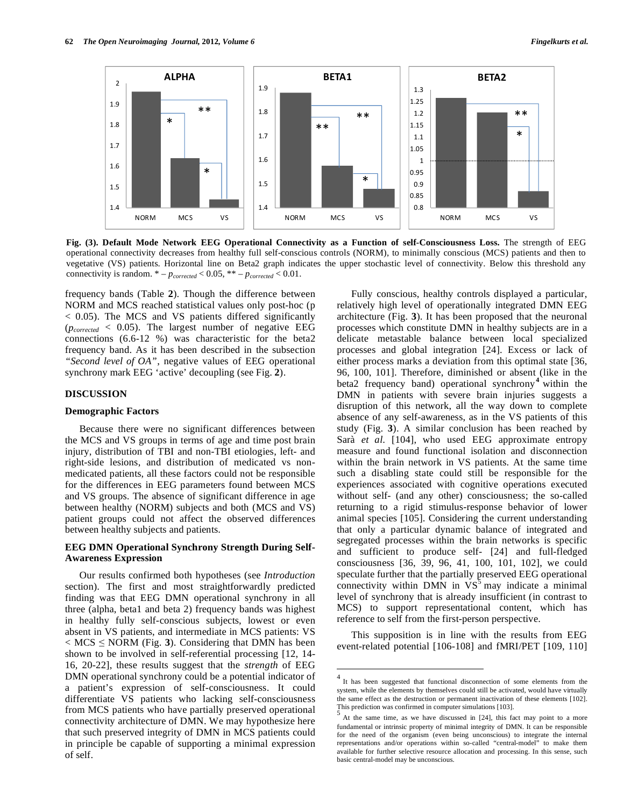

**Fig. (3). Default Mode Network EEG Operational Connectivity as a Function of self-Consciousness Loss.** The strength of EEG operational connectivity decreases from healthy full self-conscious controls (NORM), to minimally conscious (MCS) patients and then to vegetative (VS) patients. Horizontal line on Beta2 graph indicates the upper stochastic level of connectivity. Below this threshold any connectivity is random.  $^*$  –  $p_{corrected}$  < 0.05,  $^{**}$  –  $p_{corrected}$  < 0.01.

<u>.</u>

frequency bands (Table **2**). Though the difference between NORM and MCS reached statistical values only post-hoc (p < 0.05). The MCS and VS patients differed significantly  $(p_{corrected} < 0.05)$ . The largest number of negative EEG connections (6.6-12 %) was characteristic for the beta2 frequency band. As it has been described in the subsection *"Second level of OA"*, negative values of EEG operational synchrony mark EEG 'active' decoupling (see Fig. **2**).

## **DISCUSSION**

#### **Demographic Factors**

 Because there were no significant differences between the MCS and VS groups in terms of age and time post brain injury, distribution of TBI and non-TBI etiologies, left- and right-side lesions, and distribution of medicated vs nonmedicated patients, all these factors could not be responsible for the differences in EEG parameters found between MCS and VS groups. The absence of significant difference in age between healthy (NORM) subjects and both (MCS and VS) patient groups could not affect the observed differences between healthy subjects and patients.

# **EEG DMN Operational Synchrony Strength During Self-Awareness Expression**

 Our results confirmed both hypotheses (see *Introduction* section). The first and most straightforwardly predicted finding was that EEG DMN operational synchrony in all three (alpha, beta1 and beta 2) frequency bands was highest in healthy fully self-conscious subjects, lowest or even absent in VS patients, and intermediate in MCS patients: VS  $\langle MCS \leq NORM$  (Fig. 3). Considering that DMN has been shown to be involved in self-referential processing [12, 14- 16, 20-22], these results suggest that the *strength* of EEG DMN operational synchrony could be a potential indicator of a patient's expression of self-consciousness. It could differentiate VS patients who lacking self-consciousness from MCS patients who have partially preserved operational connectivity architecture of DMN. We may hypothesize here that such preserved integrity of DMN in MCS patients could in principle be capable of supporting a minimal expression of self.

 Fully conscious, healthy controls displayed a particular, relatively high level of operationally integrated DMN EEG architecture (Fig. **3**). It has been proposed that the neuronal processes which constitute DMN in healthy subjects are in a delicate metastable balance between local specialized processes and global integration [24]. Excess or lack of either process marks a deviation from this optimal state [36, 96, 100, 101]. Therefore, diminished or absent (like in the beta2 frequency band) operational synchrony**<sup>4</sup>** within the DMN in patients with severe brain injuries suggests a disruption of this network, all the way down to complete absence of any self-awareness, as in the VS patients of this study (Fig. **3**). A similar conclusion has been reached by Sarà *et al*. [104], who used EEG approximate entropy measure and found functional isolation and disconnection within the brain network in VS patients. At the same time such a disabling state could still be responsible for the experiences associated with cognitive operations executed without self- (and any other) consciousness; the so-called returning to a rigid stimulus-response behavior of lower animal species [105]. Considering the current understanding that only a particular dynamic balance of integrated and segregated processes within the brain networks is specific and sufficient to produce self- [24] and full-fledged consciousness [36, 39, 96, 41, 100, 101, 102], we could speculate further that the partially preserved EEG operational connectivity within DMN in  $VS^5$  may indicate a minimal level of synchrony that is already insufficient (in contrast to MCS) to support representational content, which has reference to self from the first-person perspective.

 This supposition is in line with the results from EEG event-related potential [106-108] and fMRI/PET [109, 110]

<sup>&</sup>lt;sup>4</sup> It has been suggested that functional disconnection of some elements from the system, while the elements by themselves could still be activated, would have virtually the same effect as the destruction or permanent inactivation of these elements [102]. This prediction was confirmed in computer simulations [103].

<sup>5</sup> At the same time, as we have discussed in [24], this fact may point to a more fundamental or intrinsic property of minimal integrity of DMN. It can be responsible for the need of the organism (even being unconscious) to integrate the internal representations and/or operations within so-called "central-model" to make them available for further selective resource allocation and processing. In this sense, such basic central-model may be unconscious.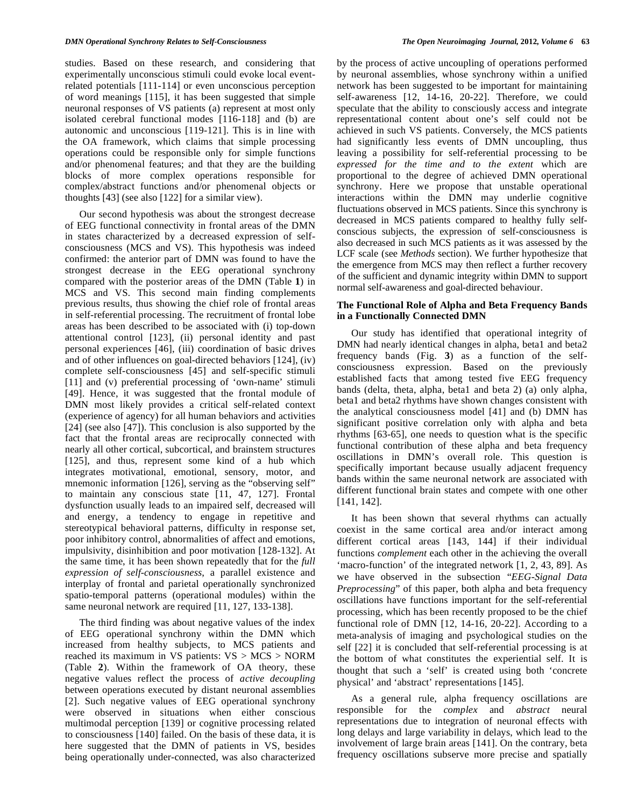studies. Based on these research, and considering that experimentally unconscious stimuli could evoke local eventrelated potentials [111-114] or even unconscious perception of word meanings [115], it has been suggested that simple neuronal responses of VS patients (a) represent at most only isolated cerebral functional modes [116-118] and (b) are autonomic and unconscious [119-121]. This is in line with the OA framework, which claims that simple processing operations could be responsible only for simple functions and/or phenomenal features; and that they are the building blocks of more complex operations responsible for complex/abstract functions and/or phenomenal objects or thoughts [43] (see also [122] for a similar view).

 Our second hypothesis was about the strongest decrease of EEG functional connectivity in frontal areas of the DMN in states characterized by a decreased expression of selfconsciousness (MCS and VS). This hypothesis was indeed confirmed: the anterior part of DMN was found to have the strongest decrease in the EEG operational synchrony compared with the posterior areas of the DMN (Table **1**) in MCS and VS. This second main finding complements previous results, thus showing the chief role of frontal areas in self-referential processing. The recruitment of frontal lobe areas has been described to be associated with (i) top-down attentional control [123], (ii) personal identity and past personal experiences [46], (iii) coordination of basic drives and of other influences on goal-directed behaviors [124], (iv) complete self-consciousness [45] and self-specific stimuli [11] and (v) preferential processing of 'own-name' stimuli [49]. Hence, it was suggested that the frontal module of DMN most likely provides a critical self-related context (experience of agency) for all human behaviors and activities [24] (see also [47]). This conclusion is also supported by the fact that the frontal areas are reciprocally connected with nearly all other cortical, subcortical, and brainstem structures [125], and thus, represent some kind of a hub which integrates motivational, emotional, sensory, motor, and mnemonic information [126], serving as the "observing self" to maintain any conscious state [11, 47, 127]. Frontal dysfunction usually leads to an impaired self, decreased will and energy, a tendency to engage in repetitive and stereotypical behavioral patterns, difficulty in response set, poor inhibitory control, abnormalities of affect and emotions, impulsivity, disinhibition and poor motivation [128-132]. At the same time, it has been shown repeatedly that for the *full expression of self-consciousness*, a parallel existence and interplay of frontal and parietal operationally synchronized spatio-temporal patterns (operational modules) within the same neuronal network are required [11, 127, 133-138].

 The third finding was about negative values of the index of EEG operational synchrony within the DMN which increased from healthy subjects, to MCS patients and reached its maximum in VS patients: VS > MCS > NORM (Table **2**). Within the framework of OA theory, these negative values reflect the process of *active decoupling* between operations executed by distant neuronal assemblies [2]. Such negative values of EEG operational synchrony were observed in situations when either conscious multimodal perception [139] or cognitive processing related to consciousness [140] failed. On the basis of these data, it is here suggested that the DMN of patients in VS, besides being operationally under-connected, was also characterized

by the process of active uncoupling of operations performed by neuronal assemblies, whose synchrony within a unified network has been suggested to be important for maintaining self-awareness [12, 14-16, 20-22]. Therefore, we could speculate that the ability to consciously access and integrate representational content about one's self could not be achieved in such VS patients. Conversely, the MCS patients had significantly less events of DMN uncoupling, thus leaving a possibility for self-referential processing to be *expressed for the time and to the extent* which are proportional to the degree of achieved DMN operational synchrony. Here we propose that unstable operational interactions within the DMN may underlie cognitive fluctuations observed in MCS patients. Since this synchrony is decreased in MCS patients compared to healthy fully selfconscious subjects, the expression of self-consciousness is also decreased in such MCS patients as it was assessed by the LCF scale (see *Methods* section). We further hypothesize that the emergence from MCS may then reflect a further recovery of the sufficient and dynamic integrity within DMN to support normal self-awareness and goal-directed behaviour.

## **The Functional Role of Alpha and Beta Frequency Bands in a Functionally Connected DMN**

 Our study has identified that operational integrity of DMN had nearly identical changes in alpha, beta1 and beta2 frequency bands (Fig. **3**) as a function of the selfconsciousness expression. Based on the previously established facts that among tested five EEG frequency bands (delta, theta, alpha, beta1 and beta 2) (a) only alpha, beta1 and beta2 rhythms have shown changes consistent with the analytical consciousness model [41] and (b) DMN has significant positive correlation only with alpha and beta rhythms [63-65], one needs to question what is the specific functional contribution of these alpha and beta frequency oscillations in DMN's overall role. This question is specifically important because usually adjacent frequency bands within the same neuronal network are associated with different functional brain states and compete with one other [141, 142].

 It has been shown that several rhythms can actually coexist in the same cortical area and/or interact among different cortical areas [143, 144] if their individual functions *complement* each other in the achieving the overall 'macro-function' of the integrated network [1, 2, 43, 89]. As we have observed in the subsection "*EEG-Signal Data Preprocessing*" of this paper, both alpha and beta frequency oscillations have functions important for the self-referential processing, which has been recently proposed to be the chief functional role of DMN [12, 14-16, 20-22]. According to a meta-analysis of imaging and psychological studies on the self [22] it is concluded that self-referential processing is at the bottom of what constitutes the experiential self. It is thought that such a 'self' is created using both 'concrete physical' and 'abstract' representations [145].

 As a general rule, alpha frequency oscillations are responsible for the *complex* and *abstract* neural representations due to integration of neuronal effects with long delays and large variability in delays, which lead to the involvement of large brain areas [141]. On the contrary, beta frequency oscillations subserve more precise and spatially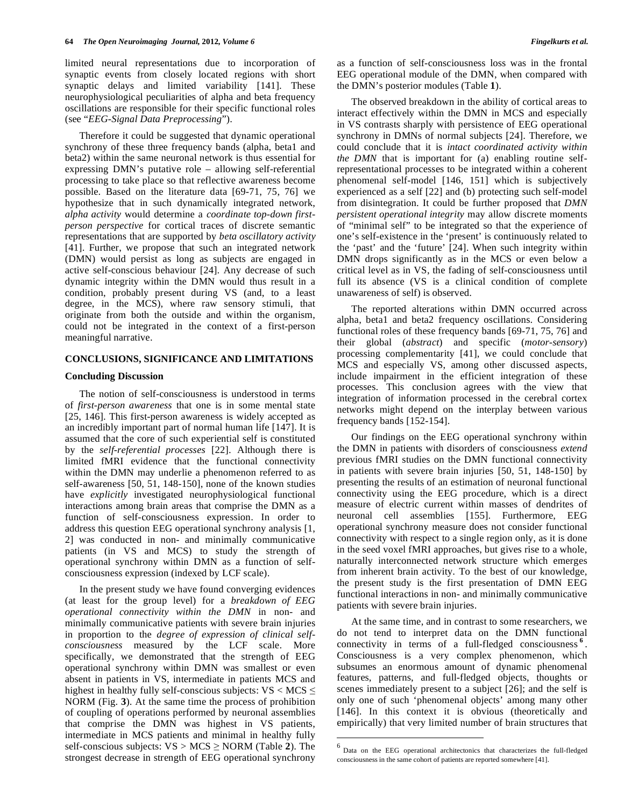limited neural representations due to incorporation of synaptic events from closely located regions with short synaptic delays and limited variability [141]. These neurophysiological peculiarities of alpha and beta frequency oscillations are responsible for their specific functional roles (see "*EEG-Signal Data Preprocessing*").

 Therefore it could be suggested that dynamic operational synchrony of these three frequency bands (alpha, beta1 and beta2) within the same neuronal network is thus essential for expressing DMN's putative role – allowing self-referential processing to take place so that reflective awareness become possible. Based on the literature data [69-71, 75, 76] we hypothesize that in such dynamically integrated network, *alpha activity* would determine a *coordinate top-down firstperson perspective* for cortical traces of discrete semantic representations that are supported by *beta oscillatory activity* [41]. Further, we propose that such an integrated network (DMN) would persist as long as subjects are engaged in active self-conscious behaviour [24]. Any decrease of such dynamic integrity within the DMN would thus result in a condition, probably present during VS (and, to a least degree, in the MCS), where raw sensory stimuli, that originate from both the outside and within the organism, could not be integrated in the context of a first-person meaningful narrative.

## **CONCLUSIONS, SIGNIFICANCE AND LIMITATIONS**

## **Concluding Discussion**

 The notion of self-consciousness is understood in terms of *first-person awareness* that one is in some mental state [25, 146]. This first-person awareness is widely accepted as an incredibly important part of normal human life [147]. It is assumed that the core of such experiential self is constituted by the *self-referential processes* [22]. Although there is limited fMRI evidence that the functional connectivity within the DMN may underlie a phenomenon referred to as self-awareness [50, 51, 148-150], none of the known studies have *explicitly* investigated neurophysiological functional interactions among brain areas that comprise the DMN as a function of self-consciousness expression. In order to address this question EEG operational synchrony analysis [1, 2] was conducted in non- and minimally communicative patients (in VS and MCS) to study the strength of operational synchrony within DMN as a function of selfconsciousness expression (indexed by LCF scale).

 In the present study we have found converging evidences (at least for the group level) for a *breakdown of EEG operational connectivity within the DMN* in non- and minimally communicative patients with severe brain injuries in proportion to the *degree of expression of clinical selfconsciousness* measured by the LCF scale. More specifically, we demonstrated that the strength of EEG operational synchrony within DMN was smallest or even absent in patients in VS, intermediate in patients MCS and highest in healthy fully self-conscious subjects:  $VS < MCS \leq$ NORM (Fig. **3**). At the same time the process of prohibition of coupling of operations performed by neuronal assemblies that comprise the DMN was highest in VS patients, intermediate in MCS patients and minimal in healthy fully self-conscious subjects:  $VS > MCS \geq NORM$  (Table 2). The strongest decrease in strength of EEG operational synchrony

 The observed breakdown in the ability of cortical areas to interact effectively within the DMN in MCS and especially in VS contrasts sharply with persistence of EEG operational synchrony in DMNs of normal subjects [24]. Therefore, we could conclude that it is *intact coordinated activity within the DMN* that is important for (a) enabling routine selfrepresentational processes to be integrated within a coherent phenomenal self-model [146, 151] which is subjectively experienced as a self [22] and (b) protecting such self-model from disintegration. It could be further proposed that *DMN persistent operational integrity* may allow discrete moments of "minimal self" to be integrated so that the experience of one's self-existence in the 'present' is continuously related to the 'past' and the 'future' [24]. When such integrity within DMN drops significantly as in the MCS or even below a critical level as in VS, the fading of self-consciousness until full its absence (VS is a clinical condition of complete unawareness of self) is observed.

 The reported alterations within DMN occurred across alpha, beta1 and beta2 frequency oscillations. Considering functional roles of these frequency bands [69-71, 75, 76] and their global (*abstract*) and specific (*motor-sensory*) processing complementarity [41], we could conclude that MCS and especially VS, among other discussed aspects, include impairment in the efficient integration of these processes. This conclusion agrees with the view that integration of information processed in the cerebral cortex networks might depend on the interplay between various frequency bands [152-154].

 Our findings on the EEG operational synchrony within the DMN in patients with disorders of consciousness *extend* previous fMRI studies on the DMN functional connectivity in patients with severe brain injuries [50, 51, 148-150] by presenting the results of an estimation of neuronal functional connectivity using the EEG procedure, which is a direct measure of electric current within masses of dendrites of neuronal cell assemblies [155]. Furthermore, EEG operational synchrony measure does not consider functional connectivity with respect to a single region only, as it is done in the seed voxel fMRI approaches, but gives rise to a whole, naturally interconnected network structure which emerges from inherent brain activity. To the best of our knowledge, the present study is the first presentation of DMN EEG functional interactions in non- and minimally communicative patients with severe brain injuries.

 At the same time, and in contrast to some researchers, we do not tend to interpret data on the DMN functional connectivity in terms of a full-fledged consciousness **<sup>6</sup>** . Consciousness is a very complex phenomenon, which subsumes an enormous amount of dynamic phenomenal features, patterns, and full-fledged objects, thoughts or scenes immediately present to a subject [26]; and the self is only one of such 'phenomenal objects' among many other [146]. In this context it is obvious (theoretically and empirically) that very limited number of brain structures that

1

<sup>6</sup> Data on the EEG operational architectonics that characterizes the full-fledged consciousness in the same cohort of patients are reported somewhere [41].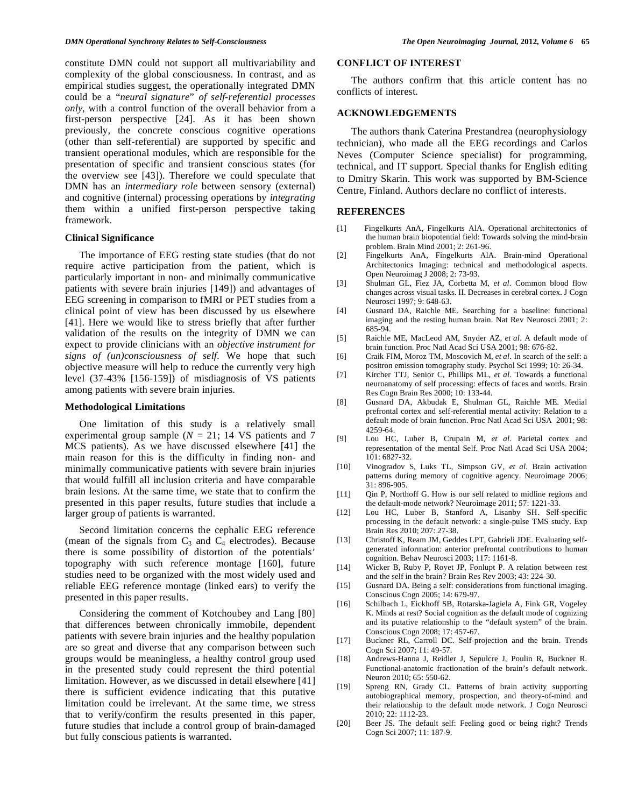constitute DMN could not support all multivariability and complexity of the global consciousness. In contrast, and as empirical studies suggest, the operationally integrated DMN could be a "*neural signature*" *of self-referential processes only*, with a control function of the overall behavior from a first-person perspective [24]. As it has been shown previously, the concrete conscious cognitive operations (other than self-referential) are supported by specific and transient operational modules, which are responsible for the presentation of specific and transient conscious states (for the overview see [43]). Therefore we could speculate that DMN has an *intermediary role* between sensory (external) and cognitive (internal) processing operations by *integrating* them within a unified first-person perspective taking framework.

#### **Clinical Significance**

 The importance of EEG resting state studies (that do not require active participation from the patient, which is particularly important in non- and minimally communicative patients with severe brain injuries [149]) and advantages of EEG screening in comparison to fMRI or PET studies from a clinical point of view has been discussed by us elsewhere [41]. Here we would like to stress briefly that after further validation of the results on the integrity of DMN we can expect to provide clinicians with an *objective instrument for signs of (un)consciousness of self*. We hope that such objective measure will help to reduce the currently very high level (37-43% [156-159]) of misdiagnosis of VS patients among patients with severe brain injuries.

## **Methodological Limitations**

 One limitation of this study is a relatively small experimental group sample  $(N = 21; 14 \text{ VS}$  patients and 7 MCS patients). As we have discussed elsewhere [41] the main reason for this is the difficulty in finding non- and minimally communicative patients with severe brain injuries that would fulfill all inclusion criteria and have comparable brain lesions. At the same time, we state that to confirm the presented in this paper results, future studies that include a larger group of patients is warranted.

 Second limitation concerns the cephalic EEG reference (mean of the signals from  $C_3$  and  $C_4$  electrodes). Because there is some possibility of distortion of the potentials' topography with such reference montage [160], future studies need to be organized with the most widely used and reliable EEG reference montage (linked ears) to verify the presented in this paper results.

 Considering the comment of Kotchoubey and Lang [80] that differences between chronically immobile, dependent patients with severe brain injuries and the healthy population are so great and diverse that any comparison between such groups would be meaningless, a healthy control group used in the presented study could represent the third potential limitation. However, as we discussed in detail elsewhere [41] there is sufficient evidence indicating that this putative limitation could be irrelevant. At the same time, we stress that to verify/confirm the results presented in this paper, future studies that include a control group of brain-damaged but fully conscious patients is warranted.

## **CONFLICT OF INTEREST**

 The authors confirm that this article content has no conflicts of interest.

#### **ACKNOWLEDGEMENTS**

 The authors thank Caterina Prestandrea (neurophysiology technician), who made all the EEG recordings and Carlos Neves (Computer Science specialist) for programming, technical, and IT support. Special thanks for English editing to Dmitry Skarin. This work was supported by BM-Science Centre, Finland. Authors declare no conflict of interests.

#### **REFERENCES**

- [1] Fingelkurts AnA, Fingelkurts AlA. Operational architectonics of the human brain biopotential field: Towards solving the mind-brain problem. Brain Mind 2001; 2: 261-96.
- [2] Fingelkurts AnA, Fingelkurts AlA. Brain-mind Operational Architectonics Imaging: technical and methodological aspects. Open Neuroimag J 2008; 2: 73-93.
- [3] Shulman GL, Fiez JA, Corbetta M, *et al*. Common blood flow changes across visual tasks. II. Decreases in cerebral cortex. J Cogn Neurosci 1997; 9: 648-63.
- [4] Gusnard DA, Raichle ME. Searching for a baseline: functional imaging and the resting human brain. Nat Rev Neurosci 2001; 2: 685-94.
- [5] Raichle ME, MacLeod AM, Snyder AZ, *et al*. A default mode of brain function. Proc Natl Acad Sci USA 2001; 98: 676-82.
- [6] Craik FIM, Moroz TM, Moscovich M, *et al*. In search of the self: a positron emission tomography study. Psychol Sci 1999; 10: 26-34.
- [7] Kircher TTJ, Senior C, Phillips ML, *et al*. Towards a functional neuroanatomy of self processing: effects of faces and words. Brain Res Cogn Brain Res 2000; 10: 133-44.
- [8] Gusnard DA, Akbudak E, Shulman GL, Raichle ME. Medial prefrontal cortex and self-referential mental activity: Relation to a default mode of brain function. Proc Natl Acad Sci USA 2001; 98: 4259-64.
- [9] Lou HC, Luber B, Crupain M, *et al*. Parietal cortex and representation of the mental Self. Proc Natl Acad Sci USA 2004; 101: 6827-32.
- [10] Vinogradov S, Luks TL, Simpson GV, *et al*. Brain activation patterns during memory of cognitive agency. Neuroimage 2006; 31: 896-905.
- [11] Qin P, Northoff G. How is our self related to midline regions and the default-mode network? Neuroimage 2011; 57: 1221-33.
- [12] Lou HC, Luber B, Stanford A, Lisanby SH. Self-specific processing in the default network: a single-pulse TMS study. Exp Brain Res 2010; 207: 27-38.
- [13] Christoff K, Ream JM, Geddes LPT, Gabrieli JDE. Evaluating selfgenerated information: anterior prefrontal contributions to human cognition. Behav Neurosci 2003; 117: 1161-8.
- [14] Wicker B, Ruby P, Royet JP, Fonlupt P. A relation between rest and the self in the brain? Brain Res Rev 2003; 43: 224-30.
- [15] Gusnard DA. Being a self: considerations from functional imaging. Conscious Cogn 2005; 14: 679-97.
- [16] Schilbach L, Eickhoff SB, Rotarska-Jagiela A, Fink GR, Vogeley K. Minds at rest? Social cognition as the default mode of cognizing and its putative relationship to the "default system" of the brain. Conscious Cogn 2008; 17: 457-67.
- [17] Buckner RL, Carroll DC. Self-projection and the brain. Trends Cogn Sci 2007; 11: 49-57.
- [18] Andrews-Hanna J, Reidler J, Sepulcre J, Poulin R, Buckner R. Functional-anatomic fractionation of the brain's default network. Neuron 2010; 65: 550-62.
- [19] Spreng RN, Grady CL. Patterns of brain activity supporting autobiographical memory, prospection, and theory-of-mind and their relationship to the default mode network. J Cogn Neurosci 2010; 22: 1112-23.
- [20] Beer JS. The default self: Feeling good or being right? Trends Cogn Sci 2007; 11: 187-9.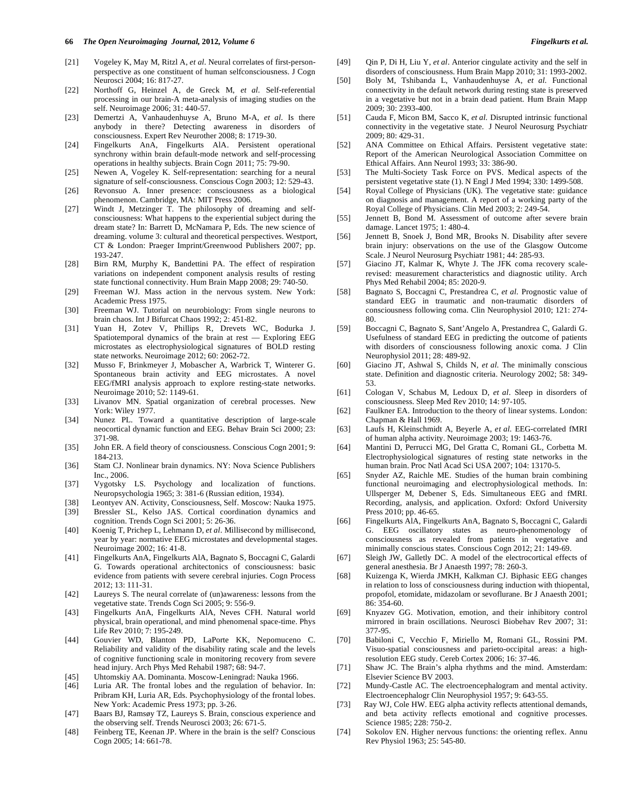- [21] Vogeley K, May M, Ritzl A, *et al*. Neural correlates of first-personperspective as one constituent of human selfconsciousness. J Cogn Neurosci 2004; 16: 817-27.
- [22] Northoff G, Heinzel A, de Greck M, *et al*. Self-referential processing in our brain-A meta-analysis of imaging studies on the self. Neuroimage 2006; 31: 440-57.
- [23] Demertzi A, Vanhaudenhuyse A, Bruno M-A, *et al*. Is there anybody in there? Detecting awareness in disorders of consciousness. Expert Rev Neurother 2008; 8: 1719-30.
- [24] Fingelkurts AnA, Fingelkurts AlA. Persistent operational synchrony within brain default-mode network and self-processing operations in healthy subjects. Brain Cogn 2011; 75: 79-90.
- [25] Newen A, Vogeley K. Self-representation: searching for a neural signature of self-consciousness. Conscious Cogn 2003; 12: 529-43.
- [26] Revonsuo A. Inner presence: consciousness as a biological phenomenon. Cambridge, MA: MIT Press 2006.
- [27] Windt J, Metzinger T. The philosophy of dreaming and selfconsciousness: What happens to the experiential subject during the dream state? In: Barrett D, McNamara P, Eds. The new science of dreaming. volume 3: cultural and theoretical perspectives. Westport, CT & London: Praeger Imprint/Greenwood Publishers 2007; pp. 193-247.
- [28] Birn RM, Murphy K, Bandettini PA. The effect of respiration variations on independent component analysis results of resting state functional connectivity. Hum Brain Mapp 2008; 29: 740-50.
- [29] Freeman WJ. Mass action in the nervous system. New York: Academic Press 1975.
- [30] Freeman WJ. Tutorial on neurobiology: From single neurons to brain chaos. Int J Bifurcat Chaos 1992; 2: 451-82.
- [31] Yuan H, Zotev V, Phillips R, Drevets WC, Bodurka J. Spatiotemporal dynamics of the brain at rest — Exploring EEG microstates as electrophysiological signatures of BOLD resting state networks. Neuroimage 2012; 60: 2062-72.
- [32] Musso F, Brinkmeyer J, Mobascher A, Warbrick T, Winterer G. Spontaneous brain activity and EEG microstates. A novel EEG/fMRI analysis approach to explore resting-state networks. Neuroimage 2010; 52: 1149-61.
- [33] Livanov MN. Spatial organization of cerebral processes. New York: Wiley 1977.
- [34] Nunez PL. Toward a quantitative description of large-scale neocortical dynamic function and EEG. Behav Brain Sci 2000; 23: 371-98.
- [35] John ER. A field theory of consciousness. Conscious Cogn 2001; 9: 184-213.
- [36] Stam CJ. Nonlinear brain dynamics. NY: Nova Science Publishers Inc., 2006.
- [37] Vygotsky LS. Psychology and localization of functions. Neuropsychologia 1965; 3: 381-6 (Russian edition, 1934).
- [38] Leontyev AN. Activity, Consciousness, Self. Moscow: Nauka 1975.
- [39] Bressler SL, Kelso JAS. Cortical coordination dynamics and cognition. Trends Cogn Sci 2001; 5: 26-36.
- [40] Koenig T, Prichep L, Lehmann D, *et al*. Millisecond by millisecond, year by year: normative EEG microstates and developmental stages. Neuroimage 2002; 16: 41-8.
- [41] Fingelkurts AnA, Fingelkurts AlA, Bagnato S, Boccagni C, Galardi G. Towards operational architectonics of consciousness: basic evidence from patients with severe cerebral injuries. Cogn Process 2012; 13: 111-31.
- [42] Laureys S. The neural correlate of (un)awareness: lessons from the vegetative state. Trends Cogn Sci 2005; 9: 556-9.
- [43] Fingelkurts AnA, Fingelkurts AlA, Neves CFH. Natural world physical, brain operational, and mind phenomenal space-time. Phys Life Rev 2010; 7: 195-249.
- [44] Gouvier WD, Blanton PD, LaPorte KK, Nepomuceno C. Reliability and validity of the disability rating scale and the levels of cognitive functioning scale in monitoring recovery from severe head injury. Arch Phys Med Rehabil 1987; 68: 94-7.
- [45] Uhtomskiy AA. Dominanta. Moscow-Leningrad: Nauka 1966.
- [46] Luria AR. The frontal lobes and the regulation of behavior. In: Pribram KH, Luria AR, Eds. Psychophysiology of the frontal lobes. New York: Academic Press 1973; pp. 3-26.
- [47] Baars BJ, Ramsøy TZ, Laureys S. Brain, conscious experience and the observing self. Trends Neurosci 2003; 26: 671-5.
- [48] Feinberg TE, Keenan JP. Where in the brain is the self? Conscious Cogn 2005; 14: 661-78.
- [49] Qin P, Di H, Liu Y, *et al*. Anterior cingulate activity and the self in disorders of consciousness. Hum Brain Mapp 2010; 31: 1993-2002.
- [50] Boly M, Tshibanda L, Vanhaudenhuyse A, *et al*. Functional connectivity in the default network during resting state is preserved in a vegetative but not in a brain dead patient. Hum Brain Mapp 2009; 30: 2393-400.
- [51] Cauda F, Micon BM, Sacco K, *et al*. Disrupted intrinsic functional connectivity in the vegetative state. J Neurol Neurosurg Psychiatr 2009; 80: 429-31.
- [52] ANA Committee on Ethical Affairs. Persistent vegetative state: Report of the American Neurological Association Committee on Ethical Affairs. Ann Neurol 1993; 33: 386-90.
- [53] The Multi-Society Task Force on PVS. Medical aspects of the persistent vegetative state (1). N Engl J Med 1994; 330: 1499-508.
- [54] Royal College of Physicians (UK). The vegetative state: guidance on diagnosis and management. A report of a working party of the Royal College of Physicians. Clin Med 2003; 2: 249-54.
- [55] Jennett B, Bond M. Assessment of outcome after severe brain damage. Lancet 1975; 1: 480-4.
- [56] Jennett B, Snoek J, Bond MR, Brooks N. Disability after severe brain injury: observations on the use of the Glasgow Outcome Scale. J Neurol Neurosurg Psychiatr 1981; 44: 285-93.
- [57] Giacino JT, Kalmar K, Whyte J. The JFK coma recovery scalerevised: measurement characteristics and diagnostic utility. Arch Phys Med Rehabil 2004; 85: 2020-9.
- [58] Bagnato S, Boccagni C, Prestandrea C, *et al*. Prognostic value of standard EEG in traumatic and non-traumatic disorders of consciousness following coma. Clin Neurophysiol 2010; 121: 274- 80.
- [59] Boccagni C, Bagnato S, Sant'Angelo A, Prestandrea C, Galardi G. Usefulness of standard EEG in predicting the outcome of patients with disorders of consciousness following anoxic coma. J Clin Neurophysiol 2011; 28: 489-92.
- [60] Giacino JT, Ashwal S, Childs N, *et al*. The minimally conscious state. Definition and diagnostic criteria. Neurology 2002; 58: 349- 53.
- [61] Cologan V, Schabus M, Ledoux D, *et al*. Sleep in disorders of consciousness. Sleep Med Rev 2010; 14: 97-105.
- [62] Faulkner EA. Introduction to the theory of linear systems. London: Chapman & Hall 1969.
- [63] Laufs H, Kleinschmidt A, Beyerle A, *et al*. EEG-correlated fMRI of human alpha activity. Neuroimage 2003; 19: 1463-76.
- [64] Mantini D, Perrucci MG, Del Gratta C, Romani GL, Corbetta M. Electrophysiological signatures of resting state networks in the human brain. Proc Natl Acad Sci USA 2007; 104: 13170-5.
- [65] Snyder AZ, Raichle ME. Studies of the human brain combining functional neuroimaging and electrophysiological methods. In: Ullsperger M, Debener S, Eds. Simultaneous EEG and fMRI. Recording, analysis, and application. Oxford: Oxford University Press 2010; pp. 46-65.
- [66] Fingelkurts AlA, Fingelkurts AnA, Bagnato S, Boccagni C, Galardi G. EEG oscillatory states as neuro-phenomenology of consciousness as revealed from patients in vegetative and minimally conscious states. Conscious Cogn 2012; 21: 149-69.
- [67] Sleigh JW, Galletly DC. A model of the electrocortical effects of general anesthesia. Br J Anaesth 1997; 78: 260-3.
- [68] Kuizenga K, Wierda JMKH, Kalkman CJ. Biphasic EEG changes in relation to loss of consciousness during induction with thiopental, propofol, etomidate, midazolam or sevoflurane. Br J Anaesth 2001;  $86.354-60.$
- [69] Knyazev GG. Motivation, emotion, and their inhibitory control mirrored in brain oscillations. Neurosci Biobehav Rev 2007; 31: 377-95.
- [70] Babiloni C, Vecchio F, Miriello M, Romani GL, Rossini PM. Visuo-spatial consciousness and parieto-occipital areas: a highresolution EEG study. Cereb Cortex 2006; 16: 37-46.
- [71] Shaw JC. The Brain's alpha rhythms and the mind. Amsterdam: Elsevier Science BV 2003.
- [72] Mundy-Castle AC. The electroencephalogram and mental activity. Electroencephalogr Clin Neurophysiol 1957; 9: 643-55.
- [73] Ray WJ, Cole HW. EEG alpha activity reflects attentional demands, and beta activity reflects emotional and cognitive processes. Science 1985; 228: 750-2.
- [74] Sokolov EN. Higher nervous functions: the orienting reflex. Annu Rev Physiol 1963; 25: 545-80.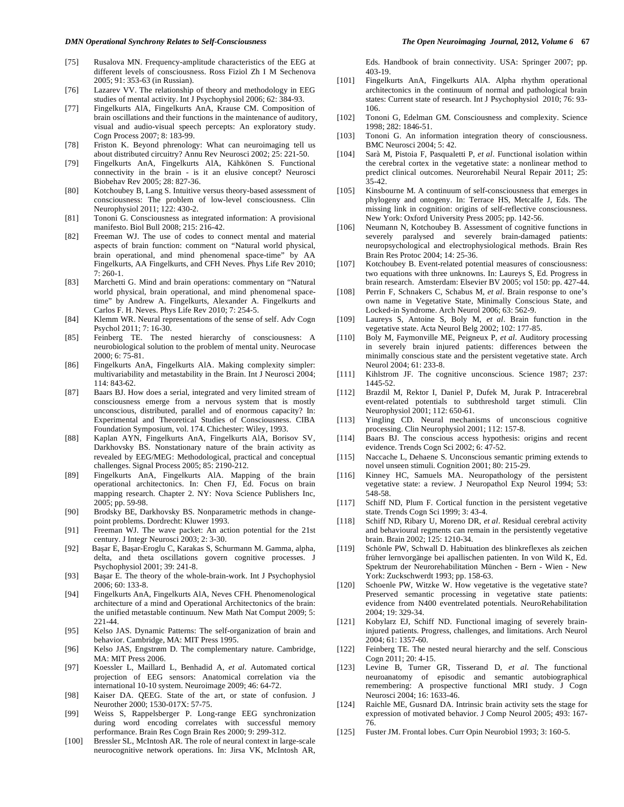- [75] Rusalova MN. Frequency-amplitude characteristics of the EEG at different levels of consciousness. Ross Fiziol Zh I M Sechenova 2005; 91: 353-63 (in Russian).
- [76] Lazarev VV. The relationship of theory and methodology in EEG studies of mental activity. Int J Psychophysiol 2006; 62: 384-93.
- [77] Fingelkurts AlA, Fingelkurts AnA, Krause CM. Composition of brain oscillations and their functions in the maintenance of auditory, visual and audio-visual speech percepts: An exploratory study. Cogn Process 2007; 8: 183-99.
- [78] Friston K. Beyond phrenology: What can neuroimaging tell us about distributed circuitry? Annu Rev Neurosci 2002; 25: 221-50.
- [79] Fingelkurts AnA, Fingelkurts AlA, Kähkönen S. Functional connectivity in the brain - is it an elusive concept? Neurosci Biobehav Rev 2005; 28: 827-36.
- [80] Kotchoubey B, Lang S. Intuitive versus theory-based assessment of consciousness: The problem of low-level consciousness. Clin Neurophysiol 2011; 122: 430-2.
- [81] Tononi G. Consciousness as integrated information: A provisional manifesto. Biol Bull 2008; 215: 216-42.
- [82] Freeman WJ. The use of codes to connect mental and material aspects of brain function: comment on "Natural world physical, brain operational, and mind phenomenal space-time" by AA Fingelkurts, AA Fingelkurts, and CFH Neves. Phys Life Rev 2010;  $7:260-1$
- [83] Marchetti G. Mind and brain operations: commentary on "Natural world physical, brain operational, and mind phenomenal spacetime" by Andrew A. Fingelkurts, Alexander A. Fingelkurts and Carlos F. H. Neves. Phys Life Rev 2010; 7: 254-5.
- [84] Klemm WR. Neural representations of the sense of self. Adv Cogn Psychol 2011; 7: 16-30.
- [85] Feinberg TE. The nested hierarchy of consciousness: A neurobiological solution to the problem of mental unity. Neurocase 2000; 6: 75-81.
- [86] Fingelkurts AnA, Fingelkurts AlA. Making complexity simpler: multivariability and metastability in the Brain. Int J Neurosci 2004; 114: 843-62.
- [87] Baars BJ. How does a serial, integrated and very limited stream of consciousness emerge from a nervous system that is mostly unconscious, distributed, parallel and of enormous capacity? In: Experimental and Theoretical Studies of Consciousness. CIBA Foundation Symposium, vol. 174. Chichester: Wiley, 1993.
- [88] Kaplan AYN, Fingelkurts AnA, Fingelkurts AlA, Borisov SV, Darkhovsky BS. Nonstationary nature of the brain activity as revealed by EEG/MEG: Methodological, practical and conceptual challenges. Signal Process 2005; 85: 2190-212.
- [89] Fingelkurts AnA, Fingelkurts AlA. Mapping of the brain operational architectonics. In: Chen FJ, Ed. Focus on brain mapping research. Chapter 2. NY: Nova Science Publishers Inc, 2005; pp. 59-98.
- [90] Brodsky BE, Darkhovsky BS. Nonparametric methods in changepoint problems. Dordrecht: Kluwer 1993.
- [91] Freeman WJ. The wave packet: An action potential for the 21st century. J Integr Neurosci 2003; 2: 3-30.
- [92] Başar E, Başar-Eroglu C, Karakas S, Schurmann M. Gamma, alpha, delta, and theta oscillations govern cognitive processes. J Psychophysiol 2001; 39: 241-8.
- [93] Basar E. The theory of the whole-brain-work. Int J Psychophysiol 2006; 60: 133-8.
- [94] Fingelkurts AnA, Fingelkurts AlA, Neves CFH. Phenomenological architecture of a mind and Operational Architectonics of the brain: the unified metastable continuum. New Math Nat Comput 2009; 5: 221-44.
- [95] Kelso JAS. Dynamic Patterns: The self-organization of brain and behavior. Cambridge, MA: MIT Press 1995.
- [96] Kelso JAS, Engstrøm D. The complementary nature. Cambridge, MA: MIT Press 2006.
- [97] Koessler L, Maillard L, Benhadid A, *et al*. Automated cortical projection of EEG sensors: Anatomical correlation via the international 10-10 system. Neuroimage 2009; 46: 64-72.
- [98] Kaiser DA. QEEG. State of the art, or state of confusion. J Neurother 2000; 1530-017X: 57-75.
- [99] Weiss S, Rappelsberger P. Long-range EEG synchronization during word encoding correlates with successful memory performance. Brain Res Cogn Brain Res 2000; 9: 299-312.
- [100] Bressler SL, McIntosh AR. The role of neural context in large-scale neurocognitive network operations. In: Jirsa VK, McIntosh AR,

Eds. Handbook of brain connectivity. USA: Springer 2007; pp. 403-19.

- [101] Fingelkurts AnA, Fingelkurts AlA. Alpha rhythm operational architectonics in the continuum of normal and pathological brain states: Current state of research. Int J Psychophysiol 2010; 76: 93- 106.
- [102] Tononi G, Edelman GM. Consciousness and complexity. Science 1998; 282: 1846-51.
- [103] Tononi G. An information integration theory of consciousness. BMC Neurosci 2004; 5: 42.
- [104] Sarà M, Pistoia F, Pasqualetti P, *et al*. Functional isolation within the cerebral cortex in the vegetative state: a nonlinear method to predict clinical outcomes. Neurorehabil Neural Repair 2011; 25: 35-42.
- [105] Kinsbourne M. A continuum of self-consciousness that emerges in phylogeny and ontogeny. In: Terrace HS, Metcalfe J, Eds. The missing link in cognition: origins of self-reflective consciousness. New York: Oxford University Press 2005; pp. 142-56.
- [106] Neumann N, Kotchoubey B. Assessment of cognitive functions in severely paralysed and severely brain-damaged patients: neuropsychological and electrophysiological methods. Brain Res Brain Res Protoc 2004; 14: 25-36.
- [107] Kotchoubey B. Event-related potential measures of consciousness: two equations with three unknowns. In: Laureys S, Ed. Progress in brain research. Amsterdam: Elsevier BV 2005; vol 150: pp. 427-44.
- [108] Perrin F, Schnakers C, Schabus M, *et al*. Brain response to one's own name in Vegetative State, Minimally Conscious State, and Locked-in Syndrome. Arch Neurol 2006; 63: 562-9.
- [109] Laureys S, Antoine S, Boly M, *et al*. Brain function in the vegetative state. Acta Neurol Belg 2002; 102: 177-85.
- [110] Boly M, Faymonville ME, Peigneux P, *et al*. Auditory processing in severely brain injured patients: differences between the minimally conscious state and the persistent vegetative state. Arch Neurol 2004; 61: 233-8.
- [111] Kihlstrom JF. The cognitive unconscious. Science 1987; 237: 1445-52.
- [112] Brazdil M, Rektor I, Daniel P, Dufek M, Jurak P. Intracerebral event-related potentials to subthreshold target stimuli. Clin Neurophysiol 2001; 112: 650-61.
- [113] Yingling CD. Neural mechanisms of unconscious cognitive processing. Clin Neurophysiol 2001; 112: 157-8.
- [114] Baars BJ. The conscious access hypothesis: origins and recent evidence. Trends Cogn Sci 2002; 6: 47-52.
- [115] Naccache L, Dehaene S. Unconscious semantic priming extends to novel unseen stimuli. Cognition 2001; 80: 215-29.
- [116] Kinney HC, Samuels MA. Neuropathology of the persistent vegetative state: a review. J Neuropathol Exp Neurol 1994; 53: 548-58.
- [117] Schiff ND, Plum F. Cortical function in the persistent vegetative state. Trends Cogn Sci 1999; 3: 43-4.
- [118] Schiff ND, Ribary U, Moreno DR, *et al*. Residual cerebral activity and behavioural regments can remain in the persistently vegetative brain. Brain 2002; 125: 1210-34.
- [119] Schönle PW, Schwall D. Habituation des blinkreflexes als zeichen früher lernvorgänge bei apallischen patienten. In von Wild K, Ed. Spektrum der Neurorehabilitation München - Bern - Wien - New York: Zuckschwerdt 1993; pp. 158-63.
- [120] Schoenle PW, Witzke W. How vegetative is the vegetative state? Preserved semantic processing in vegetative state patients: evidence from N400 eventrelated potentials. NeuroRehabilitation 2004; 19: 329-34.
- [121] Kobylarz EJ, Schiff ND. Functional imaging of severely braininjured patients. Progress, challenges, and limitations. Arch Neurol 2004; 61: 1357-60.
- [122] Feinberg TE. The nested neural hierarchy and the self. Conscious Cogn 2011; 20: 4-15.
- [123] Levine B, Turner GR, Tisserand D, *et al*. The functional neuroanatomy of episodic and semantic autobiographical remembering: A prospective functional MRI study. J Cogn Neurosci 2004; 16: 1633-46.
- [124] Raichle ME, Gusnard DA. Intrinsic brain activity sets the stage for expression of motivated behavior. J Comp Neurol 2005; 493: 167- 76.
- [125] Fuster JM. Frontal lobes. Curr Opin Neurobiol 1993; 3: 160-5.